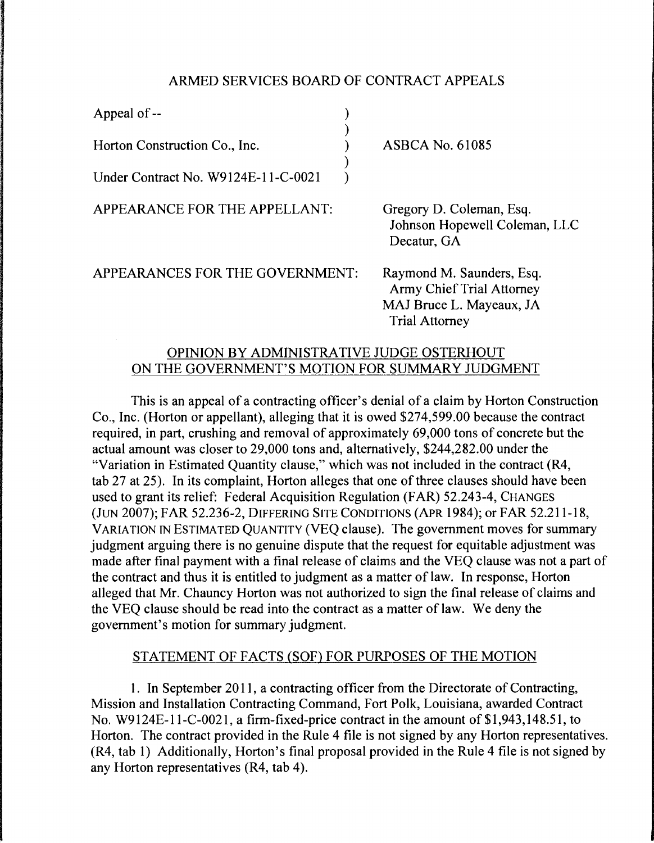### ARMED SERVICES BOARD OF CONTRACT APPEALS

| Appeal of $-$                       |                                                                                                                    |
|-------------------------------------|--------------------------------------------------------------------------------------------------------------------|
| Horton Construction Co., Inc.       | <b>ASBCA No. 61085</b>                                                                                             |
| Under Contract No. W9124E-11-C-0021 |                                                                                                                    |
| APPEARANCE FOR THE APPELLANT:       | Gregory D. Coleman, Esq.<br>Johnson Hopewell Coleman, LLC<br>Decatur, GA                                           |
| APPEARANCES FOR THE GOVERNMENT:     | Raymond M. Saunders, Esq.<br><b>Army Chief Trial Attorney</b><br>MAJ Bruce L. Mayeaux, JA<br><b>Trial Attorney</b> |

# OPINION BY ADMINISTRATIVE JUDGE OSTERHOUT ON THE GOVERNMENT'S MOTION FOR SUMMARY JUDGMENT

This is an appeal of a contracting officer's denial of a claim by Horton Construction Co., Inc. (Horton or appellant), alleging that it is owed \$274,599.00 because the contract required, in part, crushing and removal of approximately 69,000 tons of concrete but the actual amount was closer to 29,000 tons and, alternatively, \$244,282.00 under the "Variation in Estimated Quantity clause," which was not included in the contract (R4, tab 27 at 25). In its complaint, Horton alleges that one of three clauses should have been used to grant its relief: Federal Acquisition Regulation (FAR) 52.243-4, CHANGES (JUN 2007); FAR 52.236-2, DIFFERING SITE CONDITIONS (APR 1984); or FAR 52.211-18, VARIATION IN ESTIMATED QUANTITY (VEQ clause). The government moves for summary judgment arguing there is no genuine dispute that the request for equitable adjustment was made after final payment with a final release of claims and the VEQ clause was not a part of the contract and thus it is entitled to judgment as a matter of law. In response, Horton alleged that Mr. Chauncy Horton was not authorized to sign the final release of claims and the VEQ clause should be read into the contract as a matter of law. We deny the government's motion for summary judgment.

#### STATEMENT OF FACTS (SOF) FOR PURPOSES OF THE MOTION

I. In September 2011, a contracting officer from the Directorate of Contracting, Mission and Installation Contracting Command, Fort Polk, Louisiana, awarded Contract No. W9124E-11-C-0021, a firm-fixed-price contract in the amount of \$1,943,148.51, to Horton. The contract provided in the Rule 4 file is not signed by any Horton representatives. (R4, tab 1) Additionally, Horton's final proposal provided in the Rule 4 file is not signed by any Horton representatives (R4, tab 4).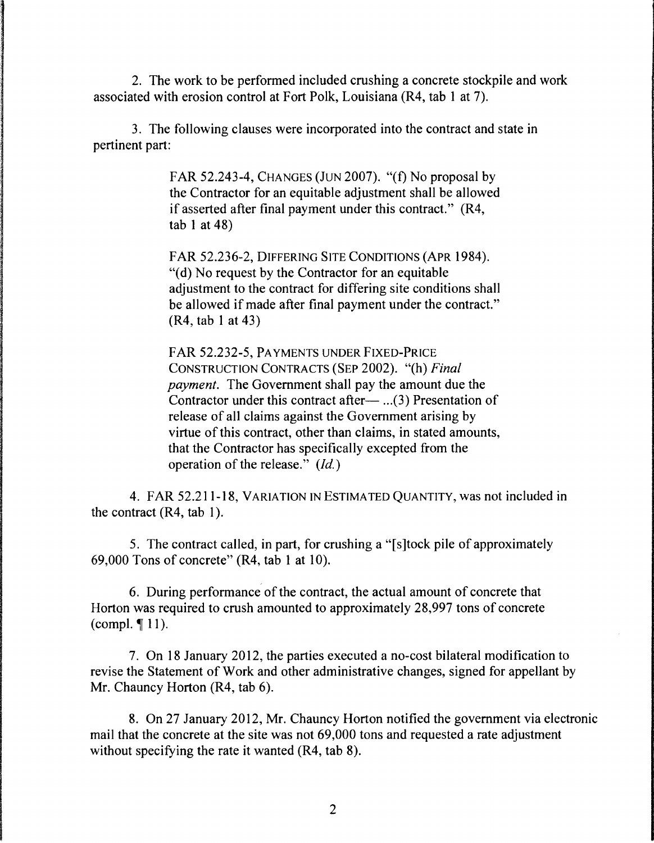2. The work to be performed included crushing a concrete stockpile and work associated with erosion control at Fort Polk, Louisiana (R4, tab 1 at 7).

3. The following clauses were incorporated into the contract and state in pertinent part:

> FAR 52.243-4, CHANGES (JUN 2007). "(f) No proposal by the Contractor for an equitable adjustment shall be allowed if asserted after final payment under this contract." (R4, tab 1 at 48)

> FAR 52.236-2, DIFFERING SITE CONDITIONS (APR 1984). "(d) No request by the Contractor for an equitable adjustment to the contract for differing site conditions shall be allowed if made after final payment under the contract." (R4, tab 1 at 43)

> FAR 52.232-5, PAYMENTS UNDER FIXED-PRICE CONSTRUCTION CONTRACTS (SEP 2002). "(h) *Final payment.* The Government shall pay the amount due the Contractor under this contract after- $\ldots$  (3) Presentation of release of all claims against the Government arising by virtue of this contract, other than claims, in stated amounts, that the Contractor has specifically excepted from the operation of the release." *(Id.)*

4. FAR 52.211-18, VARIATION IN ESTIMATED QUANTITY, was not included in the contract  $(R4, tab 1)$ .

5. The contract called, in part, for crushing a "[ s ]tock pile of approximately 69,000 Tons of concrete" (R4, tab 1 at 10).

6. During performance of the contract, the actual amount of concrete that Horton was required to crush amounted to approximately 28,997 tons of concrete (compl.  $\P$  11).

7. On 18 January 2012, the parties executed a no-cost bilateral modification to revise the Statement of Work and other administrative changes, signed for appellant by Mr. Chauncy Horton (R4, tab 6).

8. On 27 January 2012, Mr. Chauncy Horton notified the government via electronic mail that the concrete at the site was not 69,000 tons and requested a rate adjustment without specifying the rate it wanted (R4, tab 8).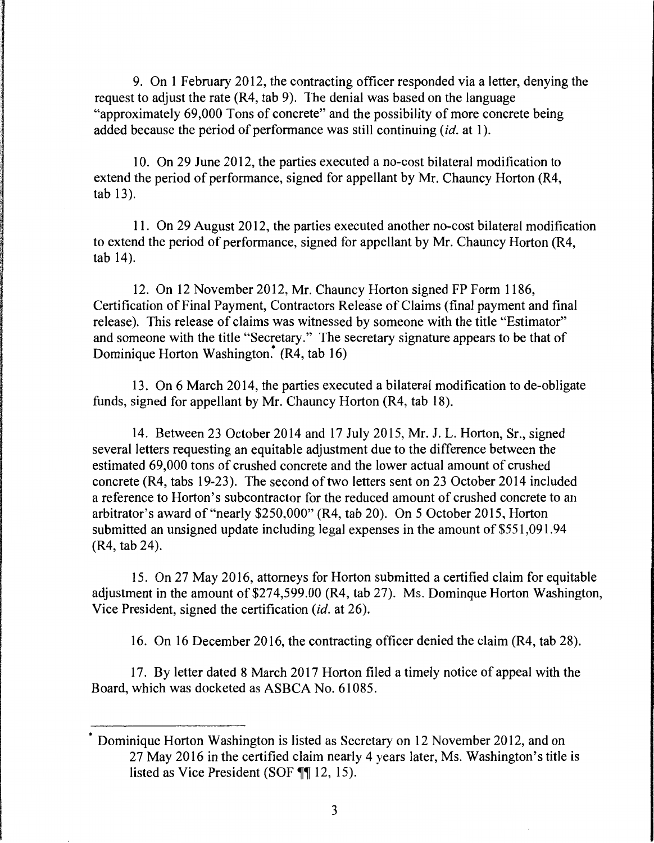9. On 1 February 2012, the contracting officer responded via a letter, denying the request to adjust the rate (R4, tab 9). The denial was based on the language "approximately 69,000 Tons of concrete" and the possibility of more concrete being added because the period of performance was still continuing *(id.* at 1).

10. On 29 June 2012, the parties executed a no-cost bilateral modification to extend the period of performance, signed for appellant by Mr. Chauncy Horton (R4, tab 13).

11. On 29 August 2012, the parties executed another no-cost bilateral modification to extend the period of performance, signed for appellant by Mr. Chauncy Horton (R4, tab 14).

12. On 12 November 2012, Mr. Chauncy Horton signed FP Form 1186, Certification of Final Payment, Contractors Release of Claims (final payment and final release). This release of claims was witnessed by someone with the title "Estimator" and someone with the title "Secretary." The secretary signature appears to be that of Dominique Horton Washington.<sup>\*</sup> (R4, tab 16)

13. On 6 March 2014, the parties executed a bilateral modification to de-obligate funds, signed for appellant by Mr. Chauncy Horton (R4, tab 18).

14. Between 23 October 2014 and 17 July 2015, Mr. J. L. Horton, Sr., signed several letters requesting an equitable adjustment due to the difference between the estimated 69,000 tons of crushed concrete and the lower actual amount of crushed concrete  $(R4, tabs 19-23)$ . The second of two letters sent on 23 October 2014 included a reference to Horton's subcontractor for the reduced amount of crushed concrete to an arbitrator's award of"nearly \$250,000" (R4, tab 20). On 5 October 2015, Horton submitted an unsigned update including legal expenses in the amount of \$551,091.94 (R4, tab 24).

15. On 27 May 2016, attorneys for Horton submitted a certified claim for equitable adjustment in the amount of \$274,599.00 (R4, tab 27). Ms. Dominque Horton Washington, Vice President, signed the certification *(id.* at 26).

16. On 16 December 2016, the contracting officer denied the claim (R4, tab 28).

17. By letter dated 8 March 2017 Horton filed a timely notice of appeal with the Board, which was docketed as ASBCA No. 61085.

<sup>\*</sup> Dominique Horton Washington is listed as Secretary on 12 November 2012, and on 27 May 2016 in the certified claim nearly 4 years later, Ms. Washington's title is listed as Vice President (SOF  $\P$  $\parallel$  12, 15).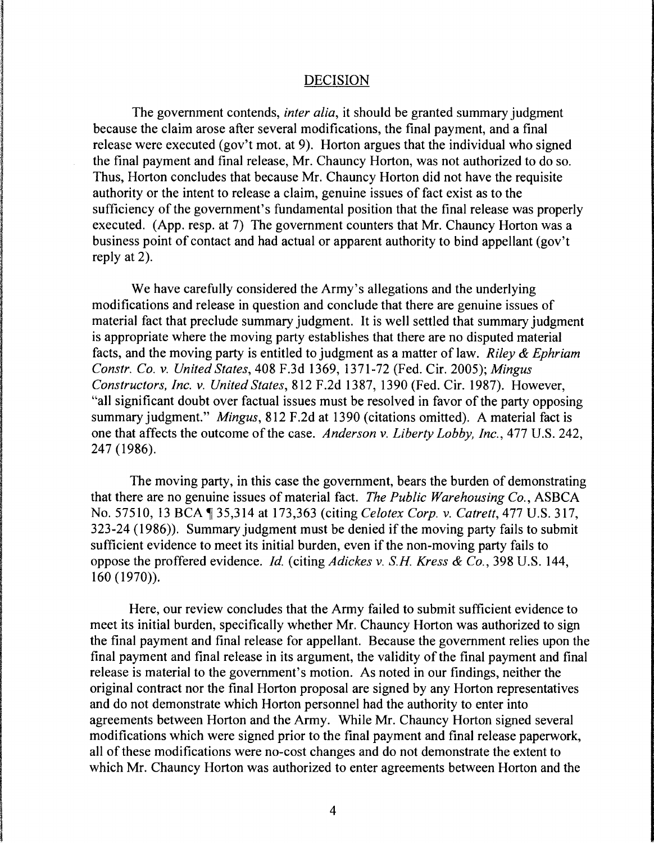### DECISION

The government contends, *inter alia,* it should be granted summary judgment because the claim arose after several modifications, the final payment, and a final release were executed (gov't mot. at 9). Horton argues that the individual who signed the final payment and final release, Mr. Chauncy Horton, was not authorized to do so. Thus, Horton concludes that because Mr. Chauncy Horton did not have the requisite authority or the intent to release a claim, genuine issues of fact exist as to the sufficiency of the government's fundamental position that the final release was properly executed. (App. resp. at 7) The government counters that Mr. Chauncy Horton was a business point of contact and had actual or apparent authority to bind appellant (gov't reply at 2).

We have carefully considered the Army's allegations and the underlying modifications and release in question and conclude that there are genuine issues of material fact that preclude summary judgment. It is well settled that summary judgment is appropriate where the moving party establishes that there are no disputed material facts, and the moving party is entitled to judgment as a matter of law. *Riley* & *Ephriam Constr. Co. v. United States,* 408 F.3d 1369, 1371-72 (Fed. Cir. 2005); *Mingus Constructors, Inc. v. United States,* 812 F.2d 1387, 1390 (Fed. Cir. 1987). However, "all significant doubt over factual issues must be resolved in favor of the party opposing summary judgment." *Mingus,* 812 F.2d at 1390 (citations omitted). A material fact is one that affects the outcome of the case. *Anderson v. Liberty Lobby, Inc.,* 477 U.S. 242, 247 (1986).

The moving party, in this case the government, bears the burden of demonstrating that there are no genuine issues of material fact. *The Public Warehousing Co.,* ASBCA No. 57510, 13 BCA 135,314 at 173,363 (citing *Celotex Corp. v. Catrett*, 477 U.S. 317, 323-24 (1986)). Summary judgment must be denied if the moving party fails to submit sufficient evidence to meet its initial burden, even if the non-moving party fails to oppose the proffered evidence. *Id.* (citing *Adickes v. S.H Kress* & *Co.,* 398 U.S. 144, 160 (1970)).

Here, our review concludes that the Army failed to submit sufficient evidence to meet its initial burden, specifically whether Mr. Chauncy Horton was authorized to sign the final payment and final release for appellant. Because the government relies upon the final payment and final release in its argument, the validity of the final payment and final release is material to the government's motion. As noted in our findings, neither the original contract nor the final Horton proposal are signed by any Horton representatives and do not demonstrate which Horton personnel had the authority to enter into agreements between Horton and the Army. While Mr. Chauncy Horton signed several modifications which were signed prior to the final payment and final release paperwork, all of these modifications were no-cost changes and do not demonstrate the extent to which Mr. Chauncy Horton was authorized to enter agreements between Horton and the